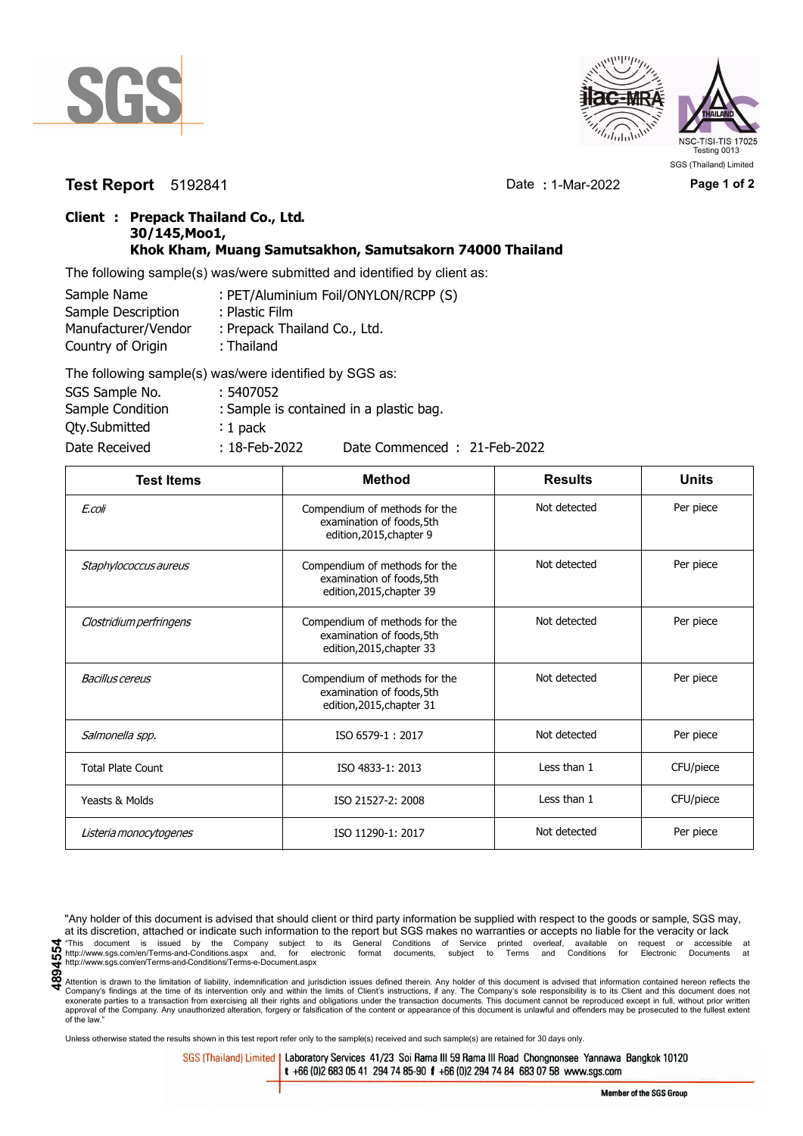



## **Test Report** 5192841 Date **:** 1-Mar-2022 **Page 1 of 2**

## **Client : Prepack Thailand Co., Ltd. 30/145,Moo1, Khok Kham, Muang Samutsakhon, Samutsakorn 74000 Thailand**

The following sample(s) was/were submitted and identified by client as:

| Sample Name         | : PET/Aluminium Foil/ONYLON/RCPP (S) |
|---------------------|--------------------------------------|
| Sample Description  | : Plastic Film                       |
| Manufacturer/Vendor | : Prepack Thailand Co., Ltd.         |
| Country of Origin   | : Thailand                           |
|                     | TILITI ISLA ILI ILI ACCHI            |

| The following sample(s) was/were identified by SGS as: |                  |                                         |
|--------------------------------------------------------|------------------|-----------------------------------------|
| SGS Sample No.                                         | : 5407052        |                                         |
| Sample Condition                                       |                  | : Sample is contained in a plastic bag. |
| Qty.Submitted                                          | $: 1$ pack       |                                         |
| Date Received                                          | $: 18$ -Feb-2022 | Date Commenced: 21-Feb-2022             |

| <b>Test Items</b>        | <b>Method</b>                                                                           | <b>Results</b> | <b>Units</b> |
|--------------------------|-----------------------------------------------------------------------------------------|----------------|--------------|
| E.coli                   | Compendium of methods for the<br>examination of foods, 5th<br>edition, 2015, chapter 9  | Not detected   | Per piece    |
| Staphylococcus aureus    | Compendium of methods for the<br>examination of foods, 5th<br>edition, 2015, chapter 39 | Not detected   | Per piece    |
| Clostridium perfringens  | Compendium of methods for the<br>examination of foods, 5th<br>edition, 2015, chapter 33 | Not detected   | Per piece    |
| Bacillus cereus          | Compendium of methods for the<br>examination of foods, 5th<br>edition, 2015, chapter 31 | Not detected   | Per piece    |
| Salmonella spp.          | ISO 6579-1:2017                                                                         | Not detected   | Per piece    |
| <b>Total Plate Count</b> | ISO 4833-1: 2013                                                                        | Less than 1    | CFU/piece    |
| Yeasts & Molds           | ISO 21527-2: 2008                                                                       | Less than 1    | CFU/piece    |
| Listeria monocytogenes   | ISO 11290-1: 2017                                                                       | Not detected   | Per piece    |

"Any holder of this document is advised that should client or third party information be supplied with respect to the goods or sample, SGS may, at its discretion, attached or indicate such information to the report but SGS makes no warranties or accepts no liable for the veracity or lack This document is issued by the Company subject to its General Conditions of Service printed overleaf, available on request or accessible at the enterprison of the company subject to its General Conditions of Service printe http://www.sgs.com/en/Terms-and-Conditions/Terms-e-Document.aspx

Attention is drawn to the limitation of liability, indemnification and jurisdiction issues defined therein. Any holder of this document is advised that information contained hereon reflects the Company's findings at the time of its intervention only and within the limits of Client's instructions, if any. The Company's sole responsibility is to its Client and this document does not<br>exonerate parties to a transacti approval of the Company. Any unauthorized alteration, forgery or falsification of the content or appearance of this document is unlawful and offenders may be prosecuted to the fullest extent approval of the Company. Any un of the law."

Unless otherwise stated the results shown in this test report refer only to the sample(s) received and such sample(s) are retained for 30 days only.

SGS (Thailand) Limited | Laboratory Services 41/23 Soi Rama III 59 Rama III Road Chongnonsee Yannawa Bangkok 10120 t +66 (0)2 683 05 41 294 74 85-90 f +66 (0)2 294 74 84 683 07 58 www.sgs.com